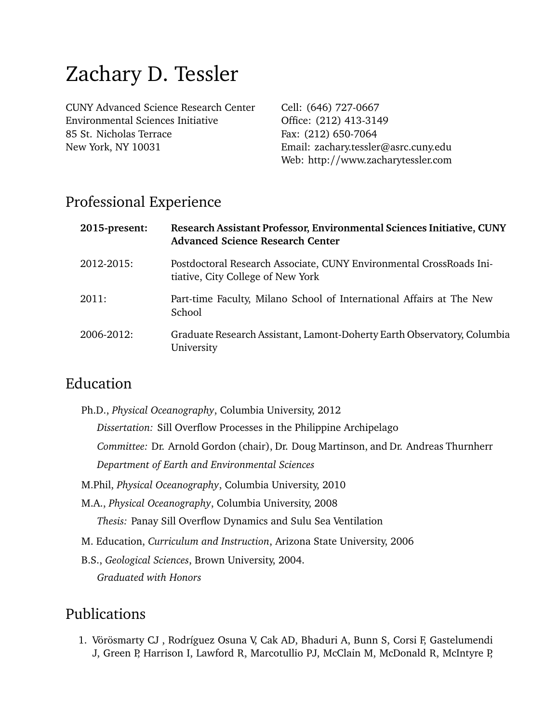# Zachary D. Tessler

CUNY Advanced Science Research Center Environmental Sciences Initiative 85 St. Nicholas Terrace New York, NY 10031

Cell: (646) 727-0667 Office: (212) 413-3149 Fax: (212) 650-7064 Email: zachary.tessler@asrc.cuny.edu Web: http://www.zacharytessler.com

## Professional Experience

| 2015-present: | Research Assistant Professor, Environmental Sciences Initiative, CUNY<br><b>Advanced Science Research Center</b> |
|---------------|------------------------------------------------------------------------------------------------------------------|
| 2012-2015:    | Postdoctoral Research Associate, CUNY Environmental CrossRoads Ini-<br>tiative, City College of New York         |
| 2011:         | Part-time Faculty, Milano School of International Affairs at The New<br>School                                   |
| 2006-2012:    | Graduate Research Assistant, Lamont-Doherty Earth Observatory, Columbia<br>University                            |

## Education

| Ph.D., Physical Oceanography, Columbia University, 2012                             |
|-------------------------------------------------------------------------------------|
| <i>Dissertation:</i> Sill Overflow Processes in the Philippine Archipelago          |
| Committee: Dr. Arnold Gordon (chair), Dr. Doug Martinson, and Dr. Andreas Thurnherr |
| Department of Earth and Environmental Sciences                                      |
| M.Phil, Physical Oceanography, Columbia University, 2010                            |
| M.A., <i>Physical Oceanography</i> , Columbia University, 2008                      |
| <i>Thesis: Panay Sill Overflow Dynamics and Sulu Sea Ventilation</i>                |
| M. Education, <i>Curriculum and Instruction</i> , Arizona State University, 2006    |
| B.S., Geological Sciences, Brown University, 2004.                                  |
| <b>Graduated with Honors</b>                                                        |
|                                                                                     |

# Publications

1. Vörösmarty CJ , Rodríguez Osuna V, Cak AD, Bhaduri A, Bunn S, Corsi F, Gastelumendi J, Green P, Harrison I, Lawford R, Marcotullio PJ, McClain M, McDonald R, McIntyre P,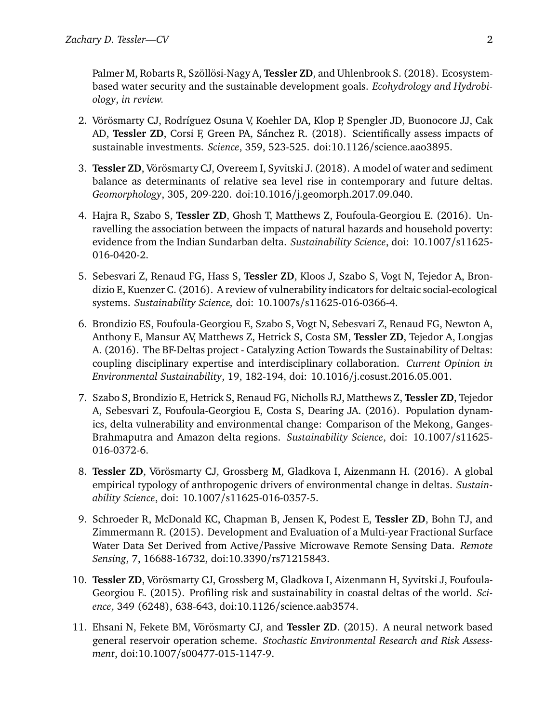Palmer M, Robarts R, Szöllösi-Nagy A, **Tessler ZD**, and Uhlenbrook S. (2018). Ecosystembased water security and the sustainable development goals. *Ecohydrology and Hydrobiology*, *in review.*

- 2. Vörösmarty CJ, Rodríguez Osuna V, Koehler DA, Klop P, Spengler JD, Buonocore JJ, Cak AD, **Tessler ZD**, Corsi F, Green PA, Sánchez R. (2018). Scientifically assess impacts of sustainable investments. *Science*, 359, 523-525. doi:10.1126/science.aao3895.
- 3. **Tessler ZD**, Vörösmarty CJ, Overeem I, Syvitski J. (2018). A model of water and sediment balance as determinants of relative sea level rise in contemporary and future deltas. *Geomorphology*, 305, 209-220. doi:10.1016/j.geomorph.2017.09.040.
- 4. Hajra R, Szabo S, **Tessler ZD**, Ghosh T, Matthews Z, Foufoula-Georgiou E. (2016). Unravelling the association between the impacts of natural hazards and household poverty: evidence from the Indian Sundarban delta. *Sustainability Science*, doi: 10.1007/s11625- 016-0420-2.
- 5. Sebesvari Z, Renaud FG, Hass S, **Tessler ZD**, Kloos J, Szabo S, Vogt N, Tejedor A, Brondizio E, Kuenzer C. (2016). A review of vulnerability indicators for deltaic social-ecological systems. *Sustainability Science,* doi: 10.1007s/s11625-016-0366-4.
- 6. Brondizio ES, Foufoula-Georgiou E, Szabo S, Vogt N, Sebesvari Z, Renaud FG, Newton A, Anthony E, Mansur AV, Matthews Z, Hetrick S, Costa SM, **Tessler ZD**, Tejedor A, Longjas A. (2016). The BF-Deltas project - Catalyzing Action Towards the Sustainability of Deltas: coupling disciplinary expertise and interdisciplinary collaboration. *Current Opinion in Environmental Sustainability*, 19, 182-194, doi: 10.1016/j.cosust.2016.05.001.
- 7. Szabo S, Brondizio E, Hetrick S, Renaud FG, Nicholls RJ, Matthews Z, **Tessler ZD**, Tejedor A, Sebesvari Z, Foufoula-Georgiou E, Costa S, Dearing JA. (2016). Population dynamics, delta vulnerability and environmental change: Comparison of the Mekong, Ganges-Brahmaputra and Amazon delta regions. *Sustainability Science*, doi: 10.1007/s11625- 016-0372-6.
- 8. **Tessler ZD**, Vörösmarty CJ, Grossberg M, Gladkova I, Aizenmann H. (2016). A global empirical typology of anthropogenic drivers of environmental change in deltas. *Sustainability Science*, doi: 10.1007/s11625-016-0357-5.
- 9. Schroeder R, McDonald KC, Chapman B, Jensen K, Podest E, **Tessler ZD**, Bohn TJ, and Zimmermann R. (2015). Development and Evaluation of a Multi-year Fractional Surface Water Data Set Derived from Active/Passive Microwave Remote Sensing Data. *Remote Sensing*, 7, 16688-16732, doi:10.3390/rs71215843.
- 10. **Tessler ZD**, Vörösmarty CJ, Grossberg M, Gladkova I, Aizenmann H, Syvitski J, Foufoula-Georgiou E. (2015). Profiling risk and sustainability in coastal deltas of the world. *Science*, 349 (6248), 638-643, doi:10.1126/science.aab3574.
- 11. Ehsani N, Fekete BM, Vörösmarty CJ, and **Tessler ZD**. (2015). A neural network based general reservoir operation scheme. *Stochastic Environmental Research and Risk Assessment*, doi:10.1007/s00477-015-1147-9.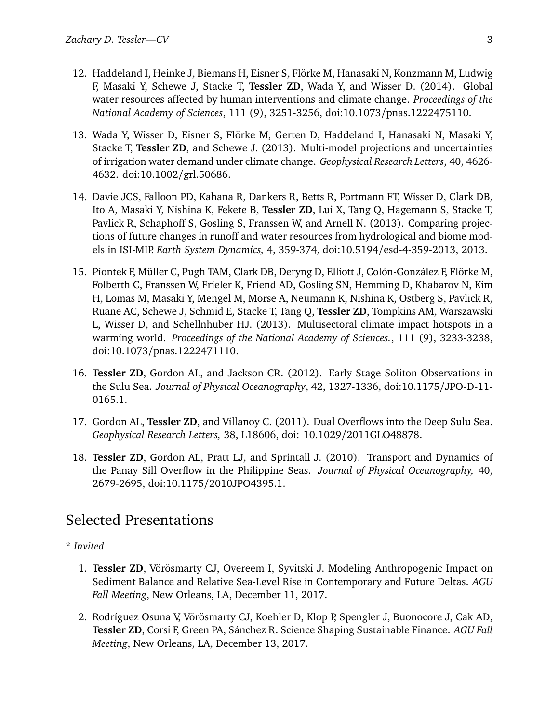- 12. Haddeland I, Heinke J, Biemans H, Eisner S, Flörke M, Hanasaki N, Konzmann M, Ludwig F, Masaki Y, Schewe J, Stacke T, **Tessler ZD**, Wada Y, and Wisser D. (2014). Global water resources affected by human interventions and climate change. *Proceedings of the National Academy of Sciences*, 111 (9), 3251-3256, doi:10.1073/pnas.1222475110.
- 13. Wada Y, Wisser D, Eisner S, Flörke M, Gerten D, Haddeland I, Hanasaki N, Masaki Y, Stacke T, **Tessler ZD**, and Schewe J. (2013). Multi-model projections and uncertainties of irrigation water demand under climate change. *Geophysical Research Letters*, 40, 4626- 4632. doi:10.1002/grl.50686.
- 14. Davie JCS, Falloon PD, Kahana R, Dankers R, Betts R, Portmann FT, Wisser D, Clark DB, Ito A, Masaki Y, Nishina K, Fekete B, **Tessler ZD**, Lui X, Tang Q, Hagemann S, Stacke T, Pavlick R, Schaphoff S, Gosling S, Franssen W, and Arnell N. (2013). Comparing projections of future changes in runoff and water resources from hydrological and biome models in ISI-MIP. *Earth System Dynamics,* 4, 359-374, doi:10.5194/esd-4-359-2013, 2013.
- 15. Piontek F, Müller C, Pugh TAM, Clark DB, Deryng D, Elliott J, Colón-González F, Flörke M, Folberth C, Franssen W, Frieler K, Friend AD, Gosling SN, Hemming D, Khabarov N, Kim H, Lomas M, Masaki Y, Mengel M, Morse A, Neumann K, Nishina K, Ostberg S, Pavlick R, Ruane AC, Schewe J, Schmid E, Stacke T, Tang Q, **Tessler ZD**, Tompkins AM, Warszawski L, Wisser D, and Schellnhuber HJ. (2013). Multisectoral climate impact hotspots in a warming world. *Proceedings of the National Academy of Sciences.*, 111 (9), 3233-3238, doi:10.1073/pnas.1222471110.
- 16. **Tessler ZD**, Gordon AL, and Jackson CR. (2012). Early Stage Soliton Observations in the Sulu Sea. *Journal of Physical Oceanography*, 42, 1327-1336, doi:10.1175/JPO-D-11- 0165.1.
- 17. Gordon AL, **Tessler ZD**, and Villanoy C. (2011). Dual Overflows into the Deep Sulu Sea. *Geophysical Research Letters,* 38, L18606, doi: 10.1029/2011GLO48878.
- 18. **Tessler ZD**, Gordon AL, Pratt LJ, and Sprintall J. (2010). Transport and Dynamics of the Panay Sill Overflow in the Philippine Seas. *Journal of Physical Oceanography,* 40, 2679-2695, doi:10.1175/2010JPO4395.1.

# Selected Presentations

- \* *Invited*
	- 1. **Tessler ZD**, Vörösmarty CJ, Overeem I, Syvitski J. Modeling Anthropogenic Impact on Sediment Balance and Relative Sea-Level Rise in Contemporary and Future Deltas. *AGU Fall Meeting*, New Orleans, LA, December 11, 2017.
	- 2. Rodríguez Osuna V, Vörösmarty CJ, Koehler D, Klop P, Spengler J, Buonocore J, Cak AD, **Tessler ZD**, Corsi F, Green PA, Sánchez R. Science Shaping Sustainable Finance. *AGU Fall Meeting*, New Orleans, LA, December 13, 2017.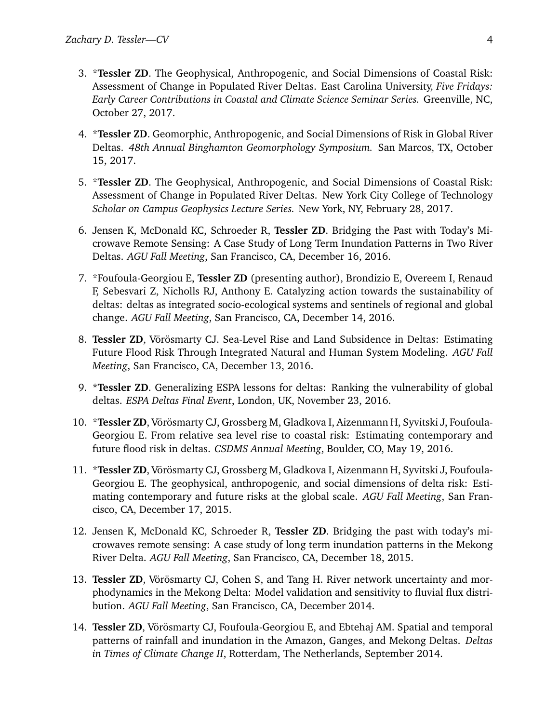- 3. \***Tessler ZD**. The Geophysical, Anthropogenic, and Social Dimensions of Coastal Risk: Assessment of Change in Populated River Deltas. East Carolina University, *Five Fridays: Early Career Contributions in Coastal and Climate Science Seminar Series.* Greenville, NC, October 27, 2017.
- 4. \***Tessler ZD**. Geomorphic, Anthropogenic, and Social Dimensions of Risk in Global River Deltas. *48th Annual Binghamton Geomorphology Symposium.* San Marcos, TX, October 15, 2017.
- 5. \***Tessler ZD**. The Geophysical, Anthropogenic, and Social Dimensions of Coastal Risk: Assessment of Change in Populated River Deltas. New York City College of Technology *Scholar on Campus Geophysics Lecture Series.* New York, NY, February 28, 2017.
- 6. Jensen K, McDonald KC, Schroeder R, **Tessler ZD**. Bridging the Past with Today's Microwave Remote Sensing: A Case Study of Long Term Inundation Patterns in Two River Deltas. *AGU Fall Meeting*, San Francisco, CA, December 16, 2016.
- 7. \*Foufoula-Georgiou E, **Tessler ZD** (presenting author), Brondizio E, Overeem I, Renaud F, Sebesvari Z, Nicholls RJ, Anthony E. Catalyzing action towards the sustainability of deltas: deltas as integrated socio-ecological systems and sentinels of regional and global change. *AGU Fall Meeting*, San Francisco, CA, December 14, 2016.
- 8. **Tessler ZD**, Vörösmarty CJ. Sea-Level Rise and Land Subsidence in Deltas: Estimating Future Flood Risk Through Integrated Natural and Human System Modeling. *AGU Fall Meeting*, San Francisco, CA, December 13, 2016.
- 9. \***Tessler ZD**. Generalizing ESPA lessons for deltas: Ranking the vulnerability of global deltas. *ESPA Deltas Final Event*, London, UK, November 23, 2016.
- 10. \***Tessler ZD**, Vörösmarty CJ, Grossberg M, Gladkova I, Aizenmann H, Syvitski J, Foufoula-Georgiou E. From relative sea level rise to coastal risk: Estimating contemporary and future flood risk in deltas. *CSDMS Annual Meeting*, Boulder, CO, May 19, 2016.
- 11. \***Tessler ZD**, Vörösmarty CJ, Grossberg M, Gladkova I, Aizenmann H, Syvitski J, Foufoula-Georgiou E. The geophysical, anthropogenic, and social dimensions of delta risk: Estimating contemporary and future risks at the global scale. *AGU Fall Meeting*, San Francisco, CA, December 17, 2015.
- 12. Jensen K, McDonald KC, Schroeder R, **Tessler ZD**. Bridging the past with today's microwaves remote sensing: A case study of long term inundation patterns in the Mekong River Delta. *AGU Fall Meeting*, San Francisco, CA, December 18, 2015.
- 13. **Tessler ZD**, Vörösmarty CJ, Cohen S, and Tang H. River network uncertainty and morphodynamics in the Mekong Delta: Model validation and sensitivity to fluvial flux distribution. *AGU Fall Meeting*, San Francisco, CA, December 2014.
- 14. **Tessler ZD**, Vörösmarty CJ, Foufoula-Georgiou E, and Ebtehaj AM. Spatial and temporal patterns of rainfall and inundation in the Amazon, Ganges, and Mekong Deltas. *Deltas in Times of Climate Change II*, Rotterdam, The Netherlands, September 2014.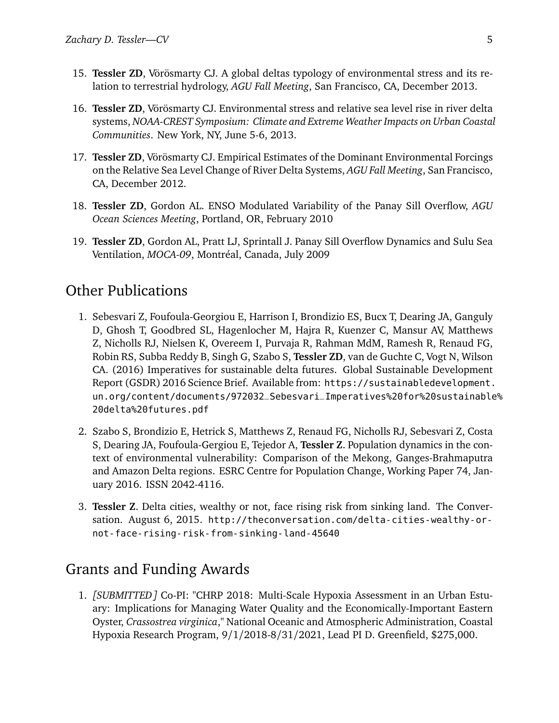- 15. **Tessler ZD**, Vörösmarty CJ. A global deltas typology of environmental stress and its relation to terrestrial hydrology, *AGU Fall Meeting*, San Francisco, CA, December 2013.
- 16. **Tessler ZD**, Vörösmarty CJ. Environmental stress and relative sea level rise in river delta systems, *NOAA-CREST Symposium: Climate and Extreme Weather Impacts on Urban Coastal Communities*. New York, NY, June 5-6, 2013.
- 17. **Tessler ZD**, Vörösmarty CJ. Empirical Estimates of the Dominant Environmental Forcings on the Relative Sea Level Change of River Delta Systems, *AGU Fall Meeting*, San Francisco, CA, December 2012.
- 18. **Tessler ZD**, Gordon AL. ENSO Modulated Variability of the Panay Sill Overflow, *AGU Ocean Sciences Meeting*, Portland, OR, February 2010
- 19. **Tessler ZD**, Gordon AL, Pratt LJ, Sprintall J. Panay Sill Overflow Dynamics and Sulu Sea Ventilation, *MOCA-09*, Montréal, Canada, July 2009

#### Other Publications

- 1. Sebesvari Z, Foufoula-Georgiou E, Harrison I, Brondizio ES, Bucx T, Dearing JA, Ganguly D, Ghosh T, Goodbred SL, Hagenlocher M, Hajra R, Kuenzer C, Mansur AV, Matthews Z, Nicholls RJ, Nielsen K, Overeem I, Purvaja R, Rahman MdM, Ramesh R, Renaud FG, Robin RS, Subba Reddy B, Singh G, Szabo S, **Tessler ZD**, van de Guchte C, Vogt N, Wilson CA. (2016) Imperatives for sustainable delta futures. Global Sustainable Development Report (GSDR) 2016 Science Brief. Available from: [https://sustainabledevelopment.](https://sustainabledevelopment.un.org/content/documents/972032_Sebesvari_Imperatives%20for%20sustainable%20delta%20futures.pdf) [un.org/content/documents/972032\\_Sebesvari\\_Imperatives%20for%20sustainable](https://sustainabledevelopment.un.org/content/documents/972032_Sebesvari_Imperatives%20for%20sustainable%20delta%20futures.pdf)% [20delta%20futures.pdf](https://sustainabledevelopment.un.org/content/documents/972032_Sebesvari_Imperatives%20for%20sustainable%20delta%20futures.pdf)
- 2. Szabo S, Brondizio E, Hetrick S, Matthews Z, Renaud FG, Nicholls RJ, Sebesvari Z, Costa S, Dearing JA, Foufoula-Gergiou E, Tejedor A, **Tessler Z**. Population dynamics in the context of environmental vulnerability: Comparison of the Mekong, Ganges-Brahmaputra and Amazon Delta regions. ESRC Centre for Population Change, Working Paper 74, January 2016. ISSN 2042-4116.
- 3. **Tessler Z**. Delta cities, wealthy or not, face rising risk from sinking land. The Conversation. August 6, 2015. [http://theconversation.com/delta-cities-wealthy-or](http://theconversation.com/delta-cities-wealthy-or-not-face-rising-risk-from-sinking-land-45640)[not-face-rising-risk-from-sinking-land-45640](http://theconversation.com/delta-cities-wealthy-or-not-face-rising-risk-from-sinking-land-45640)

## Grants and Funding Awards

1. *[SUBMITTED]* Co-PI: "CHRP 2018: Multi-Scale Hypoxia Assessment in an Urban Estuary: Implications for Managing Water Quality and the Economically-Important Eastern Oyster, *Crassostrea virginica*," National Oceanic and Atmospheric Administration, Coastal Hypoxia Research Program, 9/1/2018-8/31/2021, Lead PI D. Greenfield, \$275,000.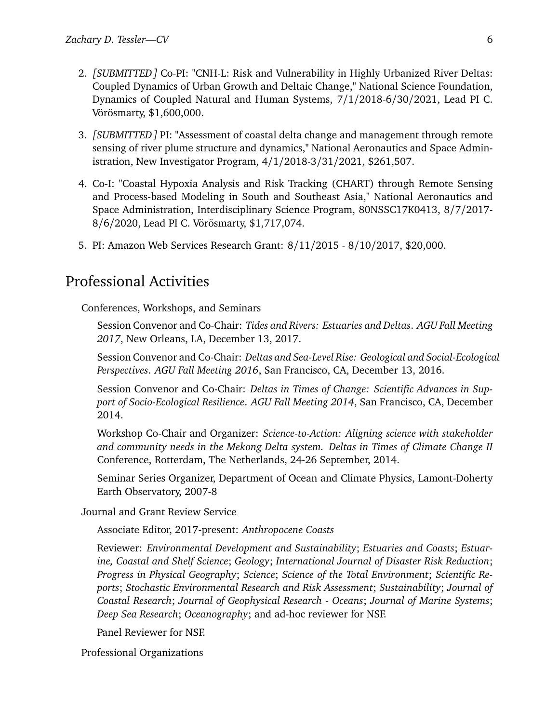- 2. *[SUBMITTED]* Co-PI: "CNH-L: Risk and Vulnerability in Highly Urbanized River Deltas: Coupled Dynamics of Urban Growth and Deltaic Change," National Science Foundation, Dynamics of Coupled Natural and Human Systems, 7/1/2018-6/30/2021, Lead PI C. Vörösmarty, \$1,600,000.
- 3. *[SUBMITTED]* PI: "Assessment of coastal delta change and management through remote sensing of river plume structure and dynamics," National Aeronautics and Space Administration, New Investigator Program, 4/1/2018-3/31/2021, \$261,507.
- 4. Co-I: "Coastal Hypoxia Analysis and Risk Tracking (CHART) through Remote Sensing and Process-based Modeling in South and Southeast Asia," National Aeronautics and Space Administration, Interdisciplinary Science Program, 80NSSC17K0413, 8/7/2017- 8/6/2020, Lead PI C. Vörösmarty, \$1,717,074.
- 5. PI: Amazon Web Services Research Grant: 8/11/2015 8/10/2017, \$20,000.

#### Professional Activities

Conferences, Workshops, and Seminars

Session Convenor and Co-Chair: *Tides and Rivers: Estuaries and Deltas*. *AGU Fall Meeting 2017*, New Orleans, LA, December 13, 2017.

Session Convenor and Co-Chair: *Deltas and Sea-Level Rise: Geological and Social-Ecological Perspectives*. *AGU Fall Meeting 2016*, San Francisco, CA, December 13, 2016.

Session Convenor and Co-Chair: *Deltas in Times of Change: Scientific Advances in Support of Socio-Ecological Resilience*. *AGU Fall Meeting 2014*, San Francisco, CA, December 2014.

Workshop Co-Chair and Organizer: *Science-to-Action: Aligning science with stakeholder and community needs in the Mekong Delta system. Deltas in Times of Climate Change II* Conference, Rotterdam, The Netherlands, 24-26 September, 2014.

Seminar Series Organizer, Department of Ocean and Climate Physics, Lamont-Doherty Earth Observatory, 2007-8

Journal and Grant Review Service

Associate Editor, 2017-present: *Anthropocene Coasts*

Reviewer: *Environmental Development and Sustainability*; *Estuaries and Coasts*; *Estuarine, Coastal and Shelf Science*; *Geology*; *International Journal of Disaster Risk Reduction*; *Progress in Physical Geography*; *Science*; *Science of the Total Environment*; *Scientific Reports*; *Stochastic Environmental Research and Risk Assessment*; *Sustainability*; *Journal of Coastal Research*; *Journal of Geophysical Research - Oceans*; *Journal of Marine Systems*; *Deep Sea Research*; *Oceanography*; and ad-hoc reviewer for NSF.

Panel Reviewer for NSF.

Professional Organizations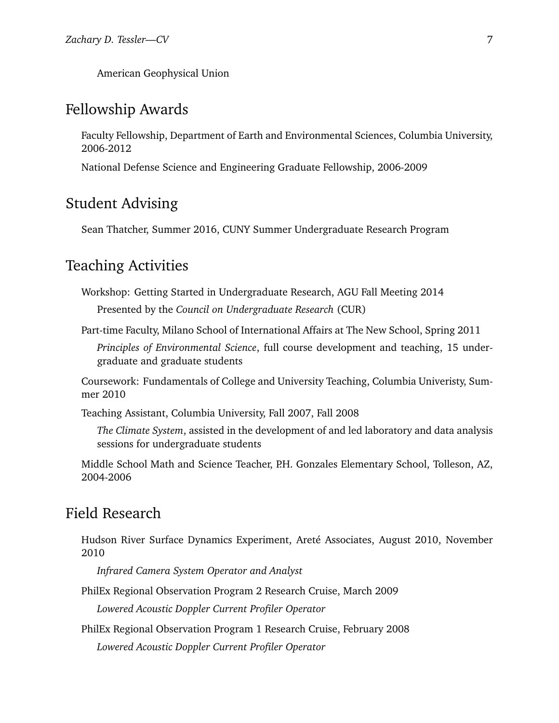American Geophysical Union

## Fellowship Awards

Faculty Fellowship, Department of Earth and Environmental Sciences, Columbia University, 2006-2012

National Defense Science and Engineering Graduate Fellowship, 2006-2009

## Student Advising

Sean Thatcher, Summer 2016, CUNY Summer Undergraduate Research Program

#### Teaching Activities

Workshop: Getting Started in Undergraduate Research, AGU Fall Meeting 2014

Presented by the *Council on Undergraduate Research* (CUR)

Part-time Faculty, Milano School of International Affairs at The New School, Spring 2011

*Principles of Environmental Science*, full course development and teaching, 15 undergraduate and graduate students

Coursework: Fundamentals of College and University Teaching, Columbia Univeristy, Summer 2010

Teaching Assistant, Columbia University, Fall 2007, Fall 2008

*The Climate System*, assisted in the development of and led laboratory and data analysis sessions for undergraduate students

Middle School Math and Science Teacher, P.H. Gonzales Elementary School, Tolleson, AZ, 2004-2006

#### Field Research

Hudson River Surface Dynamics Experiment, Areté Associates, August 2010, November 2010

*Infrared Camera System Operator and Analyst*

PhilEx Regional Observation Program 2 Research Cruise, March 2009 *Lowered Acoustic Doppler Current Profiler Operator*

PhilEx Regional Observation Program 1 Research Cruise, February 2008

*Lowered Acoustic Doppler Current Profiler Operator*